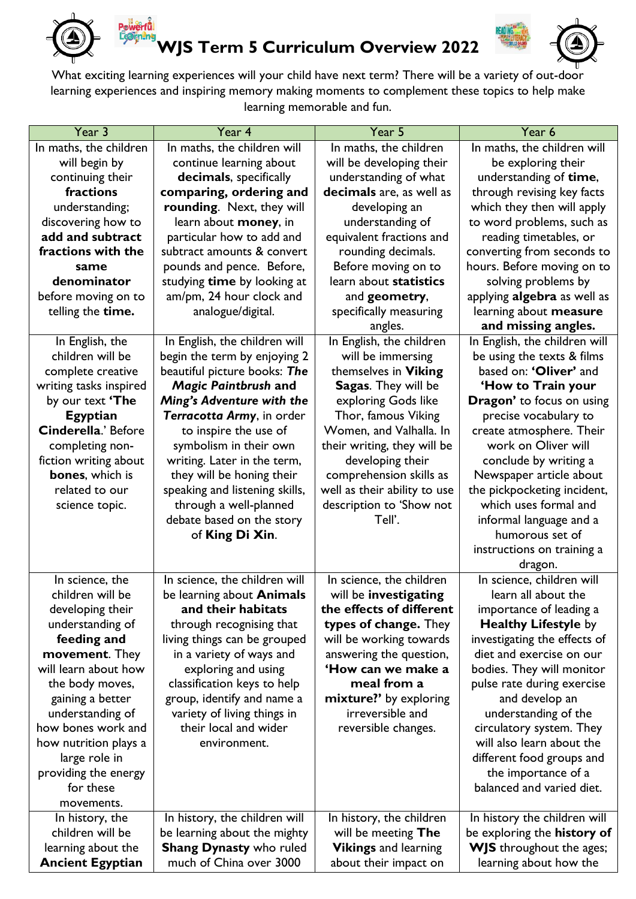

**owerful** ian<mark>a</mark>na

## **WJS Term 5 Curriculum Overview 2022**



What exciting learning experiences will your child have next term? There will be a variety of out-door learning experiences and inspiring memory making moments to complement these topics to help make learning memorable and fun.

| Year 3                  | Year 4                         | Year 5                       | Year 6                                     |
|-------------------------|--------------------------------|------------------------------|--------------------------------------------|
| In maths, the children  | In maths, the children will    | In maths, the children       | In maths, the children will                |
| will begin by           | continue learning about        | will be developing their     | be exploring their                         |
| continuing their        | decimals, specifically         | understanding of what        | understanding of time,                     |
| fractions               | comparing, ordering and        | decimals are, as well as     | through revising key facts                 |
| understanding;          | rounding. Next, they will      | developing an                | which they then will apply                 |
| discovering how to      | learn about money, in          | understanding of             | to word problems, such as                  |
| add and subtract        | particular how to add and      | equivalent fractions and     | reading timetables, or                     |
| fractions with the      | subtract amounts & convert     | rounding decimals.           | converting from seconds to                 |
| same                    | pounds and pence. Before,      | Before moving on to          | hours. Before moving on to                 |
| denominator             | studying time by looking at    | learn about statistics       | solving problems by                        |
| before moving on to     | am/pm, 24 hour clock and       | and geometry,                | applying algebra as well as                |
| telling the time.       | analogue/digital.              | specifically measuring       | learning about measure                     |
|                         |                                | angles.                      | and missing angles.                        |
| In English, the         | In English, the children will  | In English, the children     | In English, the children will              |
| children will be        | begin the term by enjoying 2   | will be immersing            | be using the texts & films                 |
| complete creative       | beautiful picture books: The   | themselves in Viking         | based on: 'Oliver' and                     |
| writing tasks inspired  | <b>Magic Paintbrush and</b>    | Sagas. They will be          | 'How to Train your                         |
| by our text 'The        | Ming's Adventure with the      | exploring Gods like          | Dragon' to focus on using                  |
| <b>Egyptian</b>         | Terracotta Army, in order      | Thor, famous Viking          | precise vocabulary to                      |
| Cinderella.' Before     | to inspire the use of          | Women, and Valhalla. In      | create atmosphere. Their                   |
| completing non-         | symbolism in their own         | their writing, they will be  | work on Oliver will                        |
| fiction writing about   | writing. Later in the term,    | developing their             | conclude by writing a                      |
| bones, which is         | they will be honing their      | comprehension skills as      | Newspaper article about                    |
| related to our          | speaking and listening skills, | well as their ability to use | the pickpocketing incident,                |
|                         | through a well-planned         | description to 'Show not     | which uses formal and                      |
| science topic.          |                                | Tell'.                       |                                            |
|                         | debate based on the story      |                              | informal language and a<br>humorous set of |
|                         | of King Di Xin.                |                              |                                            |
|                         |                                |                              | instructions on training a                 |
|                         |                                |                              | dragon.                                    |
| In science, the         | In science, the children will  | In science, the children     | In science, children will                  |
| children will be        | be learning about Animals      | will be investigating        | learn all about the                        |
| developing their        | and their habitats             | the effects of different     | importance of leading a                    |
| understanding of        | through recognising that       | types of change. They        | <b>Healthy Lifestyle by</b>                |
| feeding and             | living things can be grouped   | will be working towards      | investigating the effects of               |
| movement. They          | in a variety of ways and       | answering the question,      | diet and exercise on our                   |
| will learn about how    | exploring and using            | 'How can we make a           | bodies. They will monitor                  |
| the body moves,         | classification keys to help    | meal from a                  | pulse rate during exercise                 |
| gaining a better        | group, identify and name a     | mixture?' by exploring       | and develop an                             |
| understanding of        | variety of living things in    | irreversible and             | understanding of the                       |
| how bones work and      | their local and wider          | reversible changes.          | circulatory system. They                   |
| how nutrition plays a   | environment.                   |                              | will also learn about the                  |
| large role in           |                                |                              | different food groups and                  |
| providing the energy    |                                |                              | the importance of a                        |
| for these               |                                |                              | balanced and varied diet.                  |
| movements.              |                                |                              |                                            |
| In history, the         | In history, the children will  | In history, the children     | In history the children will               |
| children will be        | be learning about the mighty   | will be meeting The          | be exploring the history of                |
| learning about the      | <b>Shang Dynasty who ruled</b> | <b>Vikings</b> and learning  | <b>WJS</b> throughout the ages;            |
| <b>Ancient Egyptian</b> | much of China over 3000        | about their impact on        | learning about how the                     |